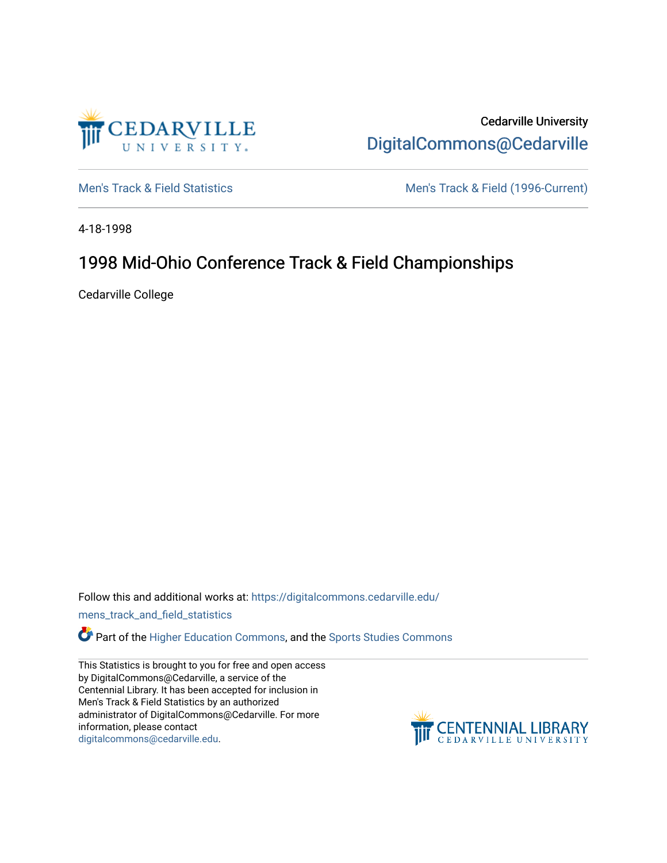

Cedarville University [DigitalCommons@Cedarville](https://digitalcommons.cedarville.edu/) 

[Men's Track & Field Statistics](https://digitalcommons.cedarville.edu/mens_track_and_field_statistics) [Men's Track & Field \(1996-Current\)](https://digitalcommons.cedarville.edu/mens_track_and_field) 

4-18-1998

## 1998 Mid-Ohio Conference Track & Field Championships

Cedarville College

Follow this and additional works at: [https://digitalcommons.cedarville.edu/](https://digitalcommons.cedarville.edu/mens_track_and_field_statistics?utm_source=digitalcommons.cedarville.edu%2Fmens_track_and_field_statistics%2F48&utm_medium=PDF&utm_campaign=PDFCoverPages)

[mens\\_track\\_and\\_field\\_statistics](https://digitalcommons.cedarville.edu/mens_track_and_field_statistics?utm_source=digitalcommons.cedarville.edu%2Fmens_track_and_field_statistics%2F48&utm_medium=PDF&utm_campaign=PDFCoverPages)

**Part of the [Higher Education Commons,](http://network.bepress.com/hgg/discipline/1245?utm_source=digitalcommons.cedarville.edu%2Fmens_track_and_field_statistics%2F48&utm_medium=PDF&utm_campaign=PDFCoverPages) and the Sports Studies Commons** 

This Statistics is brought to you for free and open access by DigitalCommons@Cedarville, a service of the Centennial Library. It has been accepted for inclusion in Men's Track & Field Statistics by an authorized administrator of DigitalCommons@Cedarville. For more information, please contact [digitalcommons@cedarville.edu](mailto:digitalcommons@cedarville.edu).

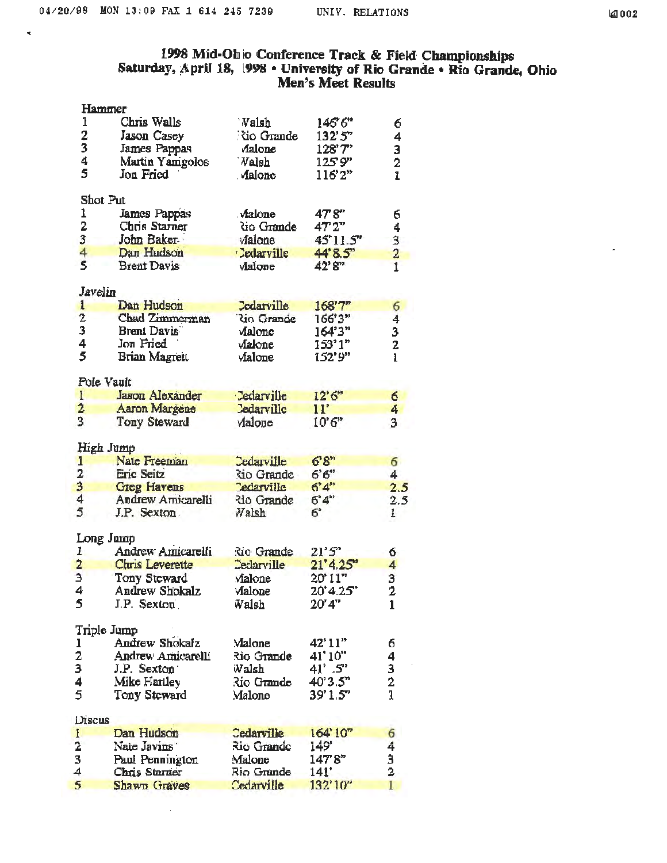$\tilde{\mathbf{z}}$ 

ä,

## 1998 Mid-Ohio Conference Track & Field Championships<br>Saturday, April 18, 1998 • University of Rio Grande • Rio Grande, Ohio<br>Men's Meet Results

|                                           | Hammer                 |                   |                               |                                            |
|-------------------------------------------|------------------------|-------------------|-------------------------------|--------------------------------------------|
| 1                                         | Chris Walls            | Valsh             | 146°6"                        | б                                          |
| 2                                         | Jason Casey            | Nio Grande        | 132'5''                       | $\frac{4}{1}$                              |
| 3                                         | James Pappas           | Aalone            | 128'7"                        |                                            |
| 4                                         | Martin Yamgolos        | <b>Valsh</b>      | 1259"                         |                                            |
| 5                                         | Jon Fried              | . Malone          | $116^{\circ}2^{\prime\prime}$ | $\begin{array}{c} 3 \\ 2 \\ 1 \end{array}$ |
|                                           | Shot Put               |                   |                               |                                            |
| 1                                         | James Pappas           | Aalone            | 47'8"                         | б                                          |
| 2                                         | Chris Starner          | dio Grande        | 47'2"                         |                                            |
| 3                                         | John Baker             | Malone            | 45'11.5"                      |                                            |
| 4                                         | Dan Hudson             | <b>Cedarville</b> | 44'8.5"                       |                                            |
| $\overline{\mathbf{5}}$                   | <b>Brent Davis</b>     | Malone            | 42'8"                         | 4321                                       |
| Javelin                                   |                        |                   |                               |                                            |
| 1                                         | Dan Hudson             | <b>Cedarville</b> | 168'7''                       | 6                                          |
| $\overline{z}$                            | <b>Chad Zimmerman</b>  | <b>Rio Grande</b> | 166'3"                        | 4                                          |
| 3                                         | <b>Brent Davis</b>     | Malonc            | 164'3"                        | 3                                          |
| 4                                         | Jon Fried              | Malone            | 153'1"                        | 2                                          |
| 5                                         | Brian Magrett          | vialone           | 152'9"                        | $\mathbf{1}$                               |
|                                           |                        |                   |                               |                                            |
|                                           | Pole Vault             |                   |                               |                                            |
| $\mathbf{I}$                              | <b>Jason Alexander</b> | Cedarville        | 12'6"                         | 6                                          |
| $\overline{2}$                            | Aaron Margene          | <b>Ledarville</b> | 11'                           | 4                                          |
| 3                                         | <b>Tony Steward</b>    | Valone            | 10'6''                        | 3                                          |
|                                           | High Jump              |                   |                               |                                            |
| 1                                         | Nate Freeman           | Cedarville        | 6'8"                          | 6                                          |
| 2                                         | Eric Seitz             | <b>Rio Grande</b> | 6'6''                         | 4                                          |
| 3                                         | <b>Greg Havens</b>     | <b>Cedarville</b> | 6'4''                         | 2.5                                        |
| 4                                         | Andrew Amicarelli      | lio Grande        | $6^{\circ}4^{\circ}$          | 2.5                                        |
| 5                                         | J.P. Sexton.           | Walsh             | 6,                            | $\mathbf{1}$                               |
|                                           | Long Jump              |                   |                               |                                            |
| ı.                                        | Andrew Amicarelli      | Rio Grande        | 21'5''                        | 6                                          |
|                                           | <b>Chris Leverette</b> | <b>Cedarville</b> | 21'4.25"                      | 4                                          |
| $\frac{2}{3}$                             | Tony Steward           | Malone            | 20' 11"                       | 3                                          |
| Λ                                         | Andrew Shokalz         | Malone            | 20'4.25''                     | 2                                          |
| 5                                         | $IP.$ Sexton           | Walsh             | 20'4"                         | 1                                          |
|                                           | Triple Jump            |                   |                               |                                            |
|                                           | Andrew Shokalz         | Malone            | 42'11"                        | 6                                          |
| $\frac{1}{2}$ $\frac{2}{4}$ $\frac{3}{5}$ | Andrew Amicarelli      | Rio Grande        | 41'10"                        |                                            |
|                                           | J.P. Sexton            | Walsh             | $41^{\circ}$ .5"              | $\frac{4}{3}$ $\frac{2}{1}$                |
|                                           | Mike Harlley           | Rio Grande        | $40^{\circ}3.5^{\circ}$       |                                            |
|                                           | Tony Steward           | Malone            | 39'1.5"                       |                                            |
| Discus                                    |                        |                   |                               |                                            |
| $\mathbf{1}$                              | Dan Hudson             | Cedarville        | 164'10"                       | 6                                          |
| 2                                         | Nate Javins            | Rio Grande        | 149'                          |                                            |
| 3                                         | Paul Pennington        | Malone            | 147'8"                        |                                            |
| 4                                         | Chris Starner          | Rio Grande        | 141'                          | $\frac{4}{3}$                              |
| 5                                         | Shawn Graves           | Cedarville        | 132'10"                       | 1                                          |
|                                           |                        |                   |                               |                                            |

 $\bar{1}$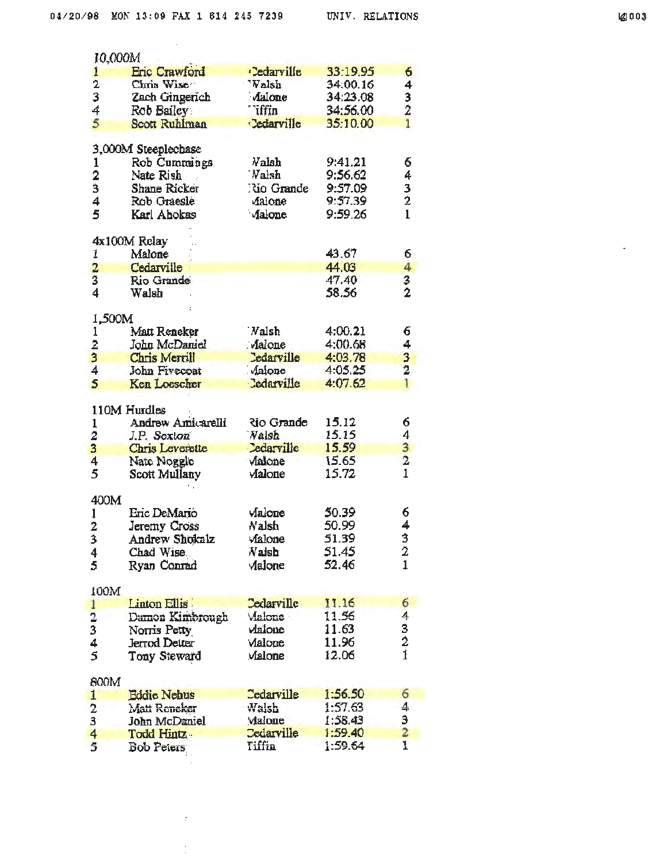| 10,000M                 |                      |                   |          |                                           |
|-------------------------|----------------------|-------------------|----------|-------------------------------------------|
| 1                       | <b>Eric Crawford</b> | <b>Cedarville</b> | 33:19.95 | 6                                         |
| $\overline{2}$          | Chris Wise           | 'Valsh            | 34:00.16 | 4                                         |
| 3                       | Zach Gingerich       | Aalone            | 34:23.08 |                                           |
| 4                       | Rob Bailey           | <b>Tiffin</b>     | 34:56.00 | $\frac{3}{2}$                             |
|                         |                      |                   |          | $\overline{1}$                            |
| 5                       | Scott Ruhlman        | <b>Cedarville</b> | 35:10.00 |                                           |
|                         | 3,000M Steeplechase  |                   |          |                                           |
| 1                       | Rob Cummings         | <b>Valsh</b>      | 9:41.21  | 6                                         |
| 2                       | Nate Rish            | Walsh             | 9:56.62  | 4                                         |
| 3                       | Shane Ricker         | No Grande         | 9:57.09  |                                           |
| 4                       | Rob Graesle          | Aalone            | 9:57.39  | 3<br>2                                    |
| 5                       | Karl Abokas          | Malone            | 9:59.26  | $\mathbf{1}$                              |
|                         | 4x100M Relay         |                   |          |                                           |
| 1.                      | Malone               |                   | 43.67    | 6                                         |
|                         |                      |                   |          |                                           |
| $\overline{a}$          | Cedarville           |                   | 44.03    | 4                                         |
| 3                       | Rio Grande           |                   | 47.40    | $\frac{3}{2}$                             |
| 4                       | Walsh                |                   | 58.56    |                                           |
| 1,500M                  |                      |                   |          |                                           |
| 1                       | Matt Reneker         | <b>Nalsh</b>      | 4:00.21  | 6                                         |
| $\overline{\mathbf{c}}$ | John McDaniel        | Malone            | 4:00.68  | 4                                         |
| 3                       | Chris Merrill        | <b>Edarville</b>  | 4:03.78  |                                           |
| 4                       | John Fivecoat        | Malone            | 4:05.25  | $\frac{3}{2}$                             |
| 5                       | Ken Loescher         | <b>Cedarville</b> | 4:07.62  | 1                                         |
|                         |                      |                   |          |                                           |
|                         | 110M Hurdles         |                   |          |                                           |
| $\mathbf{1}$            | Andrew Amicarelli    | <b>Rio Grande</b> | 15.12    | 6                                         |
| 2                       | J.P. Sexton          | <b>Nalsh</b>      | 15.15    |                                           |
| 3                       | Chris Leverette      | <b>Cedarville</b> | 15.59    | $\frac{4}{3}$<br>$\frac{3}{1}$            |
| $\overline{\bf{4}}$     | Nate Noggle          | Malone            | 15.65    |                                           |
| 5                       | Scott Mullany        | Malone            | 15.72    |                                           |
| 400M                    |                      |                   |          |                                           |
| Ĵ.                      | Eric DeMario         | Malone            | 50.39    | 6                                         |
| 2                       | Jeremy Cross         | Nalsh             | 50.99    | 4                                         |
| Ŕ                       | Andrew Shokalz       | vialone           | 51.39    | 3                                         |
| ╯                       | Chad Wise.           | Valsh             | 51.45    | 2                                         |
| 4                       |                      |                   | 52.46    | $\mathbf{1}$                              |
| 5                       | Ryan Conrad          | Malone            |          |                                           |
| 100M                    |                      |                   |          |                                           |
| 1                       | Linton Ellis         | Cedarville        | 11.16    | 6                                         |
| $\frac{2}{3}$           | Damon Kimbrough      | Malone            | 11.56    |                                           |
|                         | Norris Petty         | Vlaione           | 11.63    |                                           |
| 4                       | Jerrod Detter        | Malone            | 11.96    | $\frac{4}{3}$ $\frac{3}{2}$ $\frac{1}{1}$ |
| 5                       | Tony Steward         | Malone            | 12.06    |                                           |
| 800M                    |                      |                   |          |                                           |
| 1                       | <b>Eddie Nehus</b>   | <b>Cedarville</b> | 1:56.50  | 6                                         |
|                         |                      | Walsh             | 1:57.63  | 4                                         |
| 2                       | Matt Reneker         |                   |          |                                           |
| 3                       | John McDaniel        | Malone            | 1:58.43  |                                           |
| 4                       | Todd Hintz           | <b>Cedarville</b> | 1:59.40  | $\frac{3}{2}$                             |
| 5                       | <b>Bob Peters</b>    | Tiffin            | 1:59.64  |                                           |
|                         |                      |                   |          |                                           |

 $\boldsymbol{r}$ 

 $\frac{1}{\epsilon}$